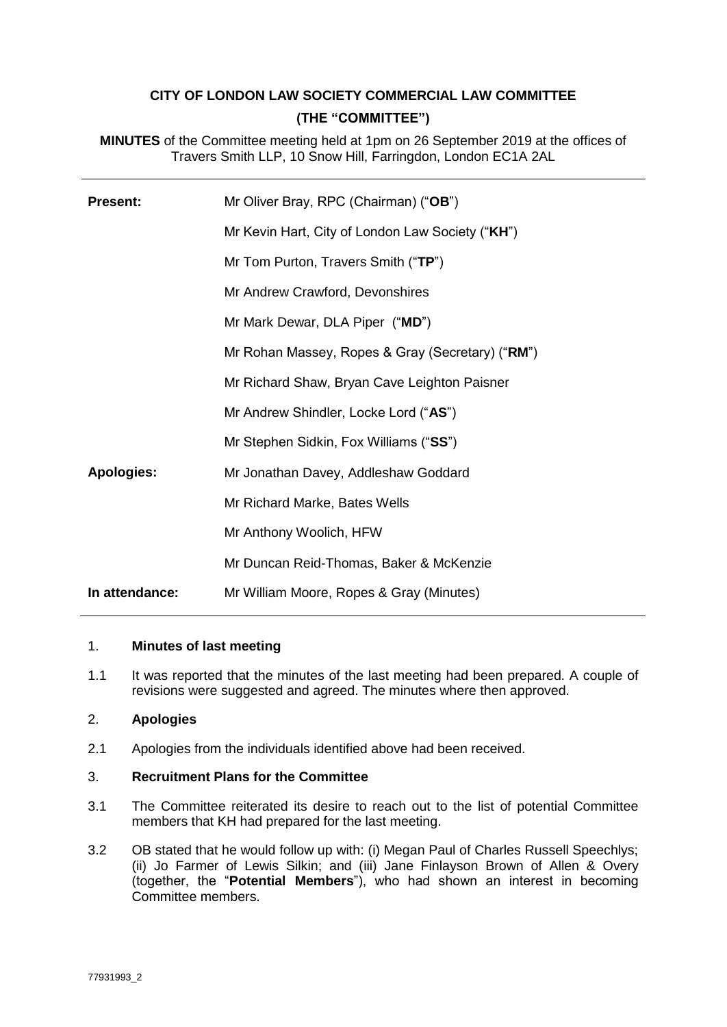# **CITY OF LONDON LAW SOCIETY COMMERCIAL LAW COMMITTEE (THE "COMMITTEE")**

**MINUTES** of the Committee meeting held at 1pm on 26 September 2019 at the offices of Travers Smith LLP, 10 Snow Hill, Farringdon, London EC1A 2AL

| <b>Present:</b>   | Mr Oliver Bray, RPC (Chairman) ("OB")            |
|-------------------|--------------------------------------------------|
|                   | Mr Kevin Hart, City of London Law Society ("KH") |
|                   | Mr Tom Purton, Travers Smith ("TP")              |
|                   | Mr Andrew Crawford, Devonshires                  |
|                   | Mr Mark Dewar, DLA Piper ("MD")                  |
|                   | Mr Rohan Massey, Ropes & Gray (Secretary) ("RM") |
|                   | Mr Richard Shaw, Bryan Cave Leighton Paisner     |
|                   | Mr Andrew Shindler, Locke Lord ("AS")            |
|                   | Mr Stephen Sidkin, Fox Williams ("SS")           |
| <b>Apologies:</b> | Mr Jonathan Davey, Addleshaw Goddard             |
|                   | Mr Richard Marke, Bates Wells                    |
|                   | Mr Anthony Woolich, HFW                          |
|                   | Mr Duncan Reid-Thomas, Baker & McKenzie          |
| In attendance:    | Mr William Moore, Ropes & Gray (Minutes)         |

#### 1. **Minutes of last meeting**

1.1 It was reported that the minutes of the last meeting had been prepared. A couple of revisions were suggested and agreed. The minutes where then approved.

## 2. **Apologies**

2.1 Apologies from the individuals identified above had been received.

## 3. **Recruitment Plans for the Committee**

- 3.1 The Committee reiterated its desire to reach out to the list of potential Committee members that KH had prepared for the last meeting.
- 3.2 OB stated that he would follow up with: (i) Megan Paul of Charles Russell Speechlys; (ii) Jo Farmer of Lewis Silkin; and (iii) Jane Finlayson Brown of Allen & Overy (together, the "**Potential Members**"), who had shown an interest in becoming Committee members.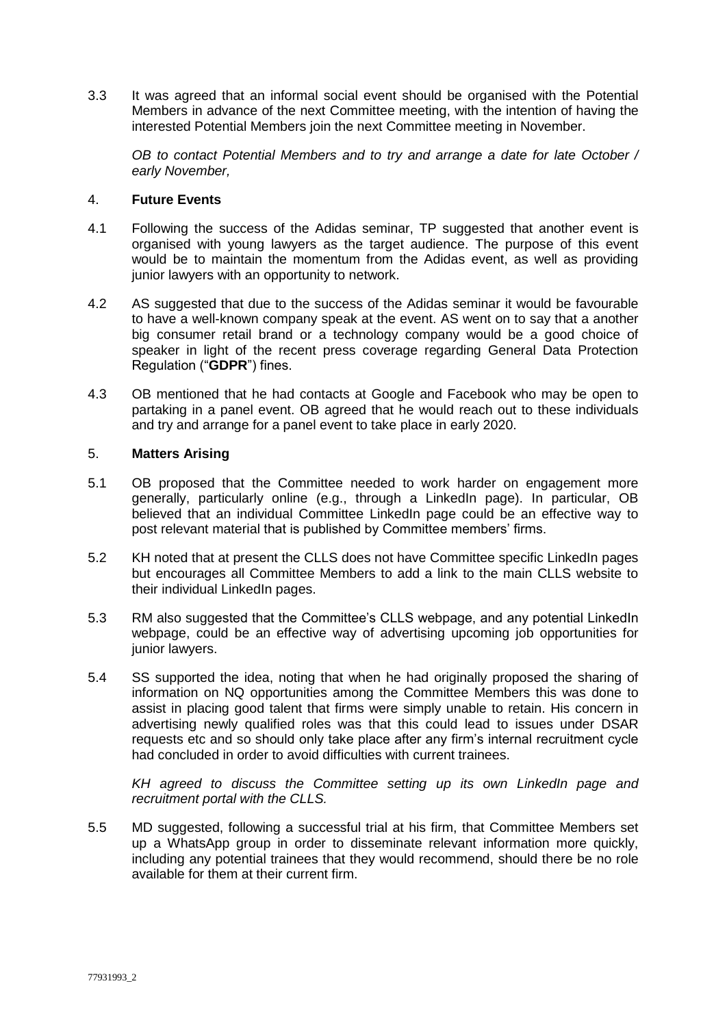3.3 It was agreed that an informal social event should be organised with the Potential Members in advance of the next Committee meeting, with the intention of having the interested Potential Members join the next Committee meeting in November.

*OB to contact Potential Members and to try and arrange a date for late October / early November,* 

#### 4. **Future Events**

- 4.1 Following the success of the Adidas seminar, TP suggested that another event is organised with young lawyers as the target audience. The purpose of this event would be to maintain the momentum from the Adidas event, as well as providing junior lawyers with an opportunity to network.
- 4.2 AS suggested that due to the success of the Adidas seminar it would be favourable to have a well-known company speak at the event. AS went on to say that a another big consumer retail brand or a technology company would be a good choice of speaker in light of the recent press coverage regarding General Data Protection Regulation ("**GDPR**") fines.
- 4.3 OB mentioned that he had contacts at Google and Facebook who may be open to partaking in a panel event. OB agreed that he would reach out to these individuals and try and arrange for a panel event to take place in early 2020.

## 5. **Matters Arising**

- 5.1 OB proposed that the Committee needed to work harder on engagement more generally, particularly online (e.g., through a LinkedIn page). In particular, OB believed that an individual Committee LinkedIn page could be an effective way to post relevant material that is published by Committee members' firms.
- 5.2 KH noted that at present the CLLS does not have Committee specific LinkedIn pages but encourages all Committee Members to add a link to the main CLLS website to their individual LinkedIn pages.
- 5.3 RM also suggested that the Committee's CLLS webpage, and any potential LinkedIn webpage, could be an effective way of advertising upcoming job opportunities for junior lawyers.
- 5.4 SS supported the idea, noting that when he had originally proposed the sharing of information on NQ opportunities among the Committee Members this was done to assist in placing good talent that firms were simply unable to retain. His concern in advertising newly qualified roles was that this could lead to issues under DSAR requests etc and so should only take place after any firm's internal recruitment cycle had concluded in order to avoid difficulties with current trainees.

*KH agreed to discuss the Committee setting up its own LinkedIn page and recruitment portal with the CLLS.*

5.5 MD suggested, following a successful trial at his firm, that Committee Members set up a WhatsApp group in order to disseminate relevant information more quickly, including any potential trainees that they would recommend, should there be no role available for them at their current firm.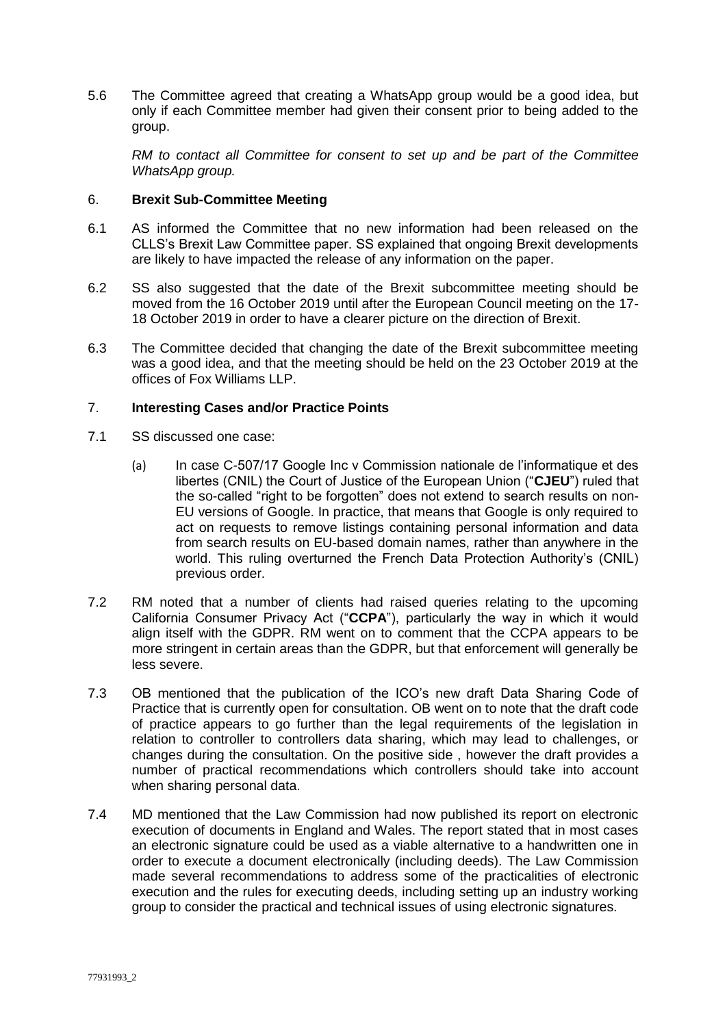5.6 The Committee agreed that creating a WhatsApp group would be a good idea, but only if each Committee member had given their consent prior to being added to the group.

*RM to contact all Committee for consent to set up and be part of the Committee WhatsApp group.* 

#### 6. **Brexit Sub-Committee Meeting**

- 6.1 AS informed the Committee that no new information had been released on the CLLS's Brexit Law Committee paper. SS explained that ongoing Brexit developments are likely to have impacted the release of any information on the paper.
- 6.2 SS also suggested that the date of the Brexit subcommittee meeting should be moved from the 16 October 2019 until after the European Council meeting on the 17- 18 October 2019 in order to have a clearer picture on the direction of Brexit.
- 6.3 The Committee decided that changing the date of the Brexit subcommittee meeting was a good idea, and that the meeting should be held on the 23 October 2019 at the offices of Fox Williams LLP.

#### 7. **Interesting Cases and/or Practice Points**

- 7.1 SS discussed one case:
	- (a) In case C-507/17 Google Inc v Commission nationale de l'informatique et des libertes (CNIL) the Court of Justice of the European Union ("**CJEU**") ruled that the so-called "right to be forgotten" does not extend to search results on non-EU versions of Google. In practice, that means that Google is only required to act on requests to remove listings containing personal information and data from search results on EU-based domain names, rather than anywhere in the world. This ruling overturned the French Data Protection Authority's (CNIL) previous order.
- 7.2 RM noted that a number of clients had raised queries relating to the upcoming California Consumer Privacy Act ("**CCPA**"), particularly the way in which it would align itself with the GDPR. RM went on to comment that the CCPA appears to be more stringent in certain areas than the GDPR, but that enforcement will generally be less severe.
- 7.3 OB mentioned that the publication of the ICO's new draft Data Sharing Code of Practice that is currently open for consultation. OB went on to note that the draft code of practice appears to go further than the legal requirements of the legislation in relation to controller to controllers data sharing, which may lead to challenges, or changes during the consultation. On the positive side , however the draft provides a number of practical recommendations which controllers should take into account when sharing personal data.
- 7.4 MD mentioned that the Law Commission had now published its report on electronic execution of documents in England and Wales. The report stated that in most cases an electronic signature could be used as a viable alternative to a handwritten one in order to execute a document electronically (including deeds). The Law Commission made several recommendations to address some of the practicalities of electronic execution and the rules for executing deeds, including setting up an industry working group to consider the practical and technical issues of using electronic signatures.